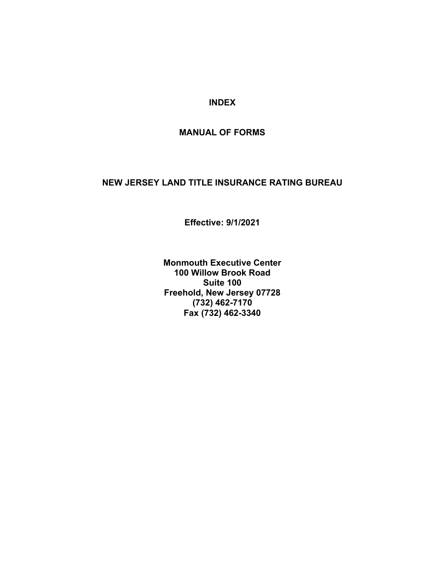#### **INDEX**

#### **MANUAL OF FORMS**

#### **NEW JERSEY LAND TITLE INSURANCE RATING BUREAU**

**Effective: 9/1/2021** 

**Monmouth Executive Center 100 Willow Brook Road Suite 100 Freehold, New Jersey 07728 (732) 462-7170 Fax (732) 462-3340**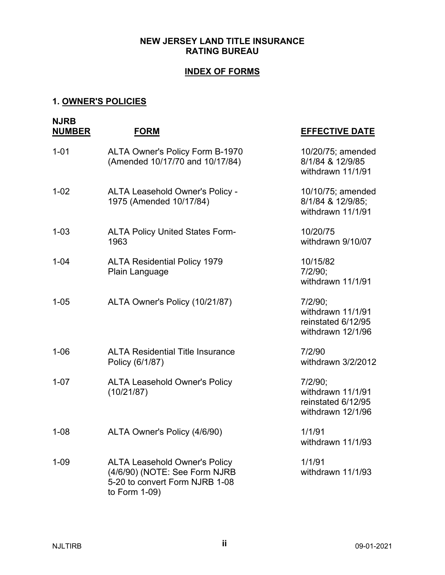#### **NEW JERSEY LAND TITLE INSURANCE RATING BUREAU**

#### **INDEX OF FORMS**

#### **1. OWNER'S POLICIES**

| <b>NJRB</b><br><b>NUMBER</b> | <b>FORM</b>                                                                                                              | <b>EFFECTIVE DATE</b>                                                   |
|------------------------------|--------------------------------------------------------------------------------------------------------------------------|-------------------------------------------------------------------------|
| $1 - 01$                     | ALTA Owner's Policy Form B-1970<br>(Amended 10/17/70 and 10/17/84)                                                       | 10/20/75; amended<br>8/1/84 & 12/9/85<br>withdrawn 11/1/91              |
| $1 - 02$                     | ALTA Leasehold Owner's Policy -<br>1975 (Amended 10/17/84)                                                               | 10/10/75; amended<br>8/1/84 & 12/9/85;<br>withdrawn 11/1/91             |
| $1 - 03$                     | <b>ALTA Policy United States Form-</b><br>1963                                                                           | 10/20/75<br>withdrawn 9/10/07                                           |
| $1 - 04$                     | <b>ALTA Residential Policy 1979</b><br>Plain Language                                                                    | 10/15/82<br>7/2/90;<br>withdrawn 11/1/91                                |
| $1 - 05$                     | ALTA Owner's Policy (10/21/87)                                                                                           | 7/2/90;<br>withdrawn 11/1/91<br>reinstated 6/12/95<br>withdrawn 12/1/96 |
| $1 - 06$                     | <b>ALTA Residential Title Insurance</b><br>Policy (6/1/87)                                                               | 7/2/90<br>withdrawn 3/2/2012                                            |
| $1 - 07$                     | <b>ALTA Leasehold Owner's Policy</b><br>(10/21/87)                                                                       | 7/2/90;<br>withdrawn 11/1/91<br>reinstated 6/12/95<br>withdrawn 12/1/96 |
| $1 - 08$                     | ALTA Owner's Policy (4/6/90)                                                                                             | 1/1/91<br>withdrawn 11/1/93                                             |
| $1 - 09$                     | <b>ALTA Leasehold Owner's Policy</b><br>(4/6/90) (NOTE: See Form NJRB<br>5-20 to convert Form NJRB 1-08<br>to Form 1-09) | 1/1/91<br>withdrawn 11/1/93                                             |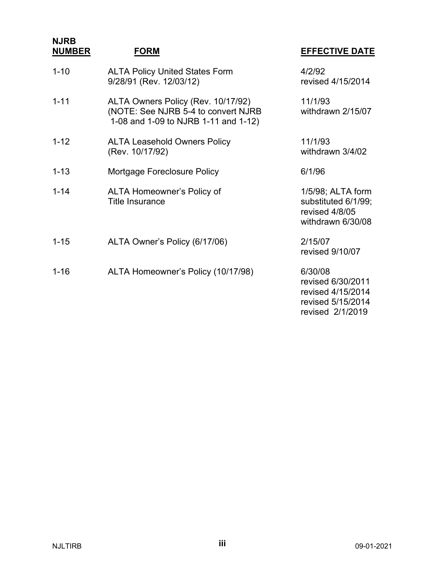**NJRB NUMBER FORM EFFECTIVE DATE** 1-10 ALTA Policy United States Form 4/2/92 9/28/91 (Rev. 12/03/12) revised 4/15/2014 1-11 ALTA Owners Policy (Rev. 10/17/92) 11/1/93 (NOTE: See NJRB 5-4 to convert NJRB withdrawn 2/15/07 1-08 and 1-09 to NJRB 1-11 and 1-12) 1-12 ALTA Leasehold Owners Policy 11/1/93 (Rev. 10/17/92) withdrawn 3/4/02 1-13 Mortgage Foreclosure Policy 6/1/96 1-14 ALTA Homeowner's Policy of 1/5/98; ALTA form Title Insurance substituted 6/1/99; revised 4/8/05 withdrawn 6/30/08 1-15 ALTA Owner's Policy (6/17/06) 2/15/07 revised 9/10/07 1-16 ALTA Homeowner's Policy (10/17/98) 6/30/08 revised 6/30/2011 revised 4/15/2014 revised 5/15/2014

revised 2/1/2019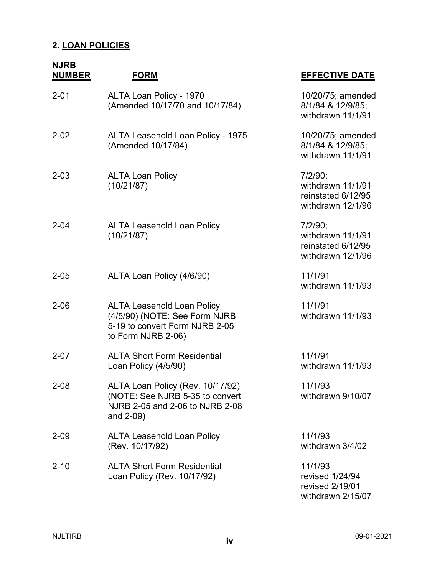### **2. LOAN POLICIES**

| <b>NJRB</b><br><b>NUMBER</b> | <b>FORM</b>                                                                                                                | <b>EFFECTIVE DATE</b>                                                   |
|------------------------------|----------------------------------------------------------------------------------------------------------------------------|-------------------------------------------------------------------------|
| $2 - 01$                     | ALTA Loan Policy - 1970<br>(Amended 10/17/70 and 10/17/84)                                                                 | 10/20/75; amended<br>8/1/84 & 12/9/85;<br>withdrawn 11/1/91             |
| $2 - 02$                     | <b>ALTA Leasehold Loan Policy - 1975</b><br>(Amended 10/17/84)                                                             | 10/20/75; amended<br>8/1/84 & 12/9/85;<br>withdrawn 11/1/91             |
| $2 - 03$                     | <b>ALTA Loan Policy</b><br>(10/21/87)                                                                                      | 7/2/90;<br>withdrawn 11/1/91<br>reinstated 6/12/95<br>withdrawn 12/1/96 |
| $2 - 04$                     | <b>ALTA Leasehold Loan Policy</b><br>(10/21/87)                                                                            | 7/2/90;<br>withdrawn 11/1/91<br>reinstated 6/12/95<br>withdrawn 12/1/96 |
| $2 - 05$                     | ALTA Loan Policy (4/6/90)                                                                                                  | 11/1/91<br>withdrawn 11/1/93                                            |
| $2 - 06$                     | <b>ALTA Leasehold Loan Policy</b><br>(4/5/90) (NOTE: See Form NJRB<br>5-19 to convert Form NJRB 2-05<br>to Form NJRB 2-06) | 11/1/91<br>withdrawn 11/1/93                                            |
| $2 - 07$                     | <b>ALTA Short Form Residential</b><br>Loan Policy (4/5/90)                                                                 | 11/1/91<br>withdrawn 11/1/93                                            |
| 2-08                         | ALTA Loan Policy (Rev. 10/17/92)<br>(NOTE: See NJRB 5-35 to convert<br>NJRB 2-05 and 2-06 to NJRB 2-08<br>and 2-09)        | 11/1/93<br>withdrawn 9/10/07                                            |
| $2 - 09$                     | <b>ALTA Leasehold Loan Policy</b><br>(Rev. 10/17/92)                                                                       | 11/1/93<br>withdrawn 3/4/02                                             |
| $2 - 10$                     | <b>ALTA Short Form Residential</b><br>Loan Policy (Rev. 10/17/92)                                                          | 11/1/93<br>revised 1/24/94<br>revised 2/19/01<br>withdrawn 2/15/07      |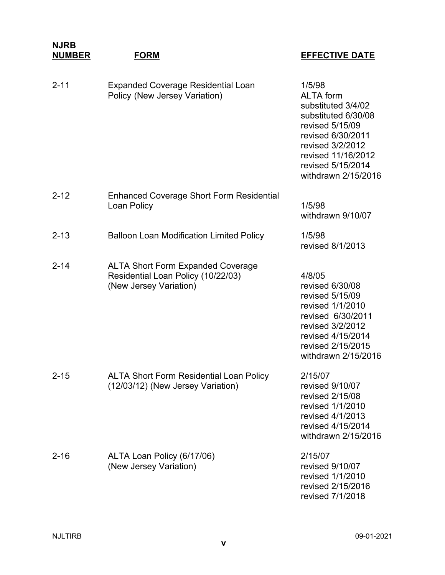#### **NJRB NUMBER FORM EFFECTIVE DATE** 2-11 Expanded Coverage Residential Loan 1/5/98 Policy (New Jersey Variation) **ALTA** form substituted 3/4/02 substituted 6/30/08 revised 5/15/09 revised 6/30/2011 revised 3/2/2012 revised 11/16/2012 revised 5/15/2014 withdrawn 2/15/2016 2-12 Enhanced Coverage Short Form Residential Loan Policy **1/5/98** withdrawn 9/10/07 2-13 Balloon Loan Modification Limited Policy 1/5/98 revised 8/1/2013 2-14 ALTA Short Form Expanded Coverage Residential Loan Policy (10/22/03) 4/8/05 (New Jersey Variation) revised 6/30/08 revised 5/15/09 revised 1/1/2010 revised 6/30/2011 revised 3/2/2012 revised 4/15/2014 revised 2/15/2015 withdrawn 2/15/2016 2-15 ALTA Short Form Residential Loan Policy 2/15/07 (12/03/12) (New Jersey Variation) revised 9/10/07 revised 2/15/08 revised 1/1/2010 revised 4/1/2013 revised 4/15/2014 withdrawn 2/15/2016 2-16 ALTA Loan Policy (6/17/06) 2/15/07 (New Jersey Variation) revised 9/10/07 revised 1/1/2010 revised 2/15/2016 revised 7/1/2018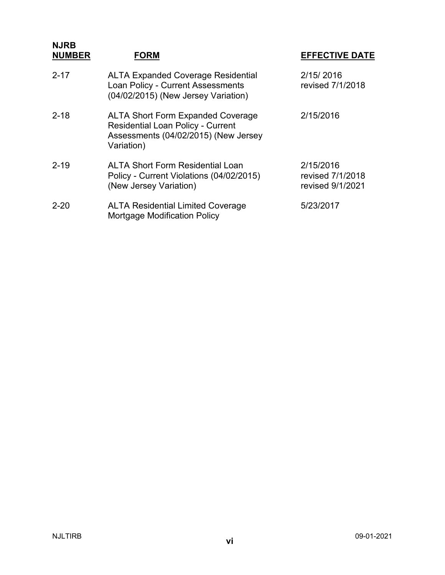| <b>NJRB</b><br><b>NUMBER</b> | <b>FORM</b>                                                                                                                                | <b>EFFECTIVE DATE</b>                             |
|------------------------------|--------------------------------------------------------------------------------------------------------------------------------------------|---------------------------------------------------|
| $2 - 17$                     | <b>ALTA Expanded Coverage Residential</b><br>Loan Policy - Current Assessments<br>(04/02/2015) (New Jersey Variation)                      | 2/15/2016<br>revised 7/1/2018                     |
| $2 - 18$                     | <b>ALTA Short Form Expanded Coverage</b><br><b>Residential Loan Policy - Current</b><br>Assessments (04/02/2015) (New Jersey<br>Variation) | 2/15/2016                                         |
| $2 - 19$                     | <b>ALTA Short Form Residential Loan</b><br>Policy - Current Violations (04/02/2015)<br>(New Jersey Variation)                              | 2/15/2016<br>revised 7/1/2018<br>revised 9/1/2021 |
| $2 - 20$                     | <b>ALTA Residential Limited Coverage</b><br><b>Mortgage Modification Policy</b>                                                            | 5/23/2017                                         |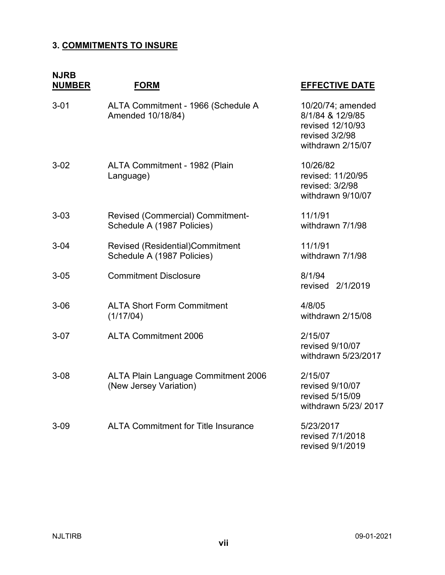### **3. COMMITMENTS TO INSURE**

| <b>NJRB</b><br><b>NUMBER</b> | <b>FORM</b>                                                           | <b>EFFECTIVE DATE</b>                                                                            |
|------------------------------|-----------------------------------------------------------------------|--------------------------------------------------------------------------------------------------|
| $3 - 01$                     | ALTA Commitment - 1966 (Schedule A<br>Amended 10/18/84)               | 10/20/74; amended<br>8/1/84 & 12/9/85<br>revised 12/10/93<br>revised 3/2/98<br>withdrawn 2/15/07 |
| $3 - 02$                     | ALTA Commitment - 1982 (Plain<br>Language)                            | 10/26/82<br>revised: 11/20/95<br>revised: 3/2/98<br>withdrawn 9/10/07                            |
| $3 - 03$                     | <b>Revised (Commercial) Commitment-</b><br>Schedule A (1987 Policies) | 11/1/91<br>withdrawn 7/1/98                                                                      |
| $3 - 04$                     | Revised (Residential)Commitment<br>Schedule A (1987 Policies)         | 11/1/91<br>withdrawn 7/1/98                                                                      |
| $3 - 05$                     | <b>Commitment Disclosure</b>                                          | 8/1/94<br>2/1/2019<br>revised                                                                    |
| $3 - 06$                     | <b>ALTA Short Form Commitment</b><br>(1/17/04)                        | 4/8/05<br>withdrawn 2/15/08                                                                      |
| $3-07$                       | <b>ALTA Commitment 2006</b>                                           | 2/15/07<br>revised 9/10/07<br>withdrawn 5/23/2017                                                |
| $3 - 08$                     | <b>ALTA Plain Language Commitment 2006</b><br>(New Jersey Variation)  | 2/15/07<br>revised 9/10/07<br>revised 5/15/09<br>withdrawn 5/23/2017                             |
| $3 - 09$                     | <b>ALTA Commitment for Title Insurance</b>                            | 5/23/2017<br>revised 7/1/2018<br>revised 9/1/2019                                                |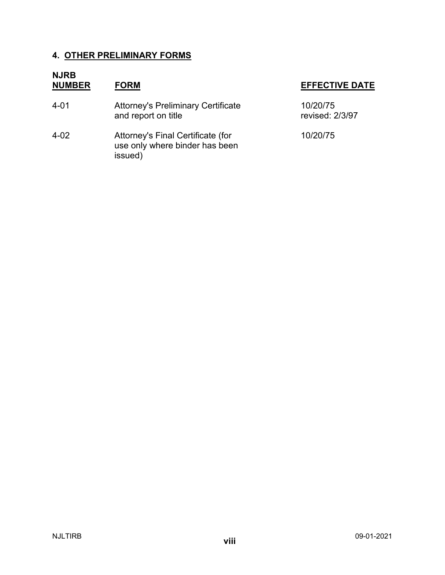#### **4. OTHER PRELIMINARY FORMS**

## **NJRB**

4-01 **Attorney's Preliminary Certificate** and report on title

4-02 Attorney's Final Certificate (for 10/20/75 use only where binder has been issued)

| 10/20/75        |
|-----------------|
| revised: 2/3/97 |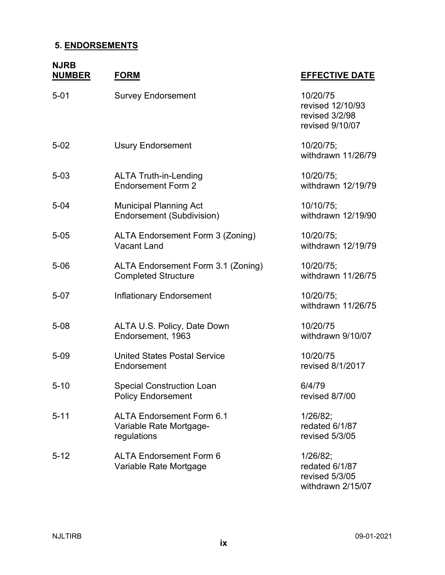### **5. ENDORSEMENTS**

### **NJRB**

| <b>NUMBER</b> | <b>FORM</b>                                                                | <b>EFFECTIVE DATE</b>                                             |
|---------------|----------------------------------------------------------------------------|-------------------------------------------------------------------|
| $5 - 01$      | <b>Survey Endorsement</b>                                                  | 10/20/75<br>revised 12/10/93<br>revised 3/2/98<br>revised 9/10/07 |
| $5 - 02$      | <b>Usury Endorsement</b>                                                   | 10/20/75;<br>withdrawn 11/26/79                                   |
| $5 - 03$      | <b>ALTA Truth-in-Lending</b><br><b>Endorsement Form 2</b>                  | 10/20/75;<br>withdrawn 12/19/79                                   |
| $5 - 04$      | <b>Municipal Planning Act</b><br><b>Endorsement (Subdivision)</b>          | 10/10/75;<br>withdrawn 12/19/90                                   |
| $5 - 05$      | ALTA Endorsement Form 3 (Zoning)<br><b>Vacant Land</b>                     | 10/20/75;<br>withdrawn 12/19/79                                   |
| $5 - 06$      | ALTA Endorsement Form 3.1 (Zoning)<br><b>Completed Structure</b>           | 10/20/75;<br>withdrawn 11/26/75                                   |
| $5 - 07$      | <b>Inflationary Endorsement</b>                                            | 10/20/75;<br>withdrawn 11/26/75                                   |
| $5 - 08$      | ALTA U.S. Policy, Date Down<br>Endorsement, 1963                           | 10/20/75<br>withdrawn 9/10/07                                     |
| $5 - 09$      | <b>United States Postal Service</b><br>Endorsement                         | 10/20/75<br>revised 8/1/2017                                      |
| $5 - 10$      | <b>Special Construction Loan</b><br><b>Policy Endorsement</b>              | 6/4/79<br>revised 8/7/00                                          |
| $5 - 11$      | <b>ALTA Endorsement Form 6.1</b><br>Variable Rate Mortgage-<br>regulations | 1/26/82;<br>redated 6/1/87<br>revised 5/3/05                      |
| $5 - 12$      | <b>ALTA Endorsement Form 6</b><br>Variable Rate Mortgage                   | 1/26/82;<br>redated 6/1/87<br>revised 5/3/05<br>withdrawn 2/15/07 |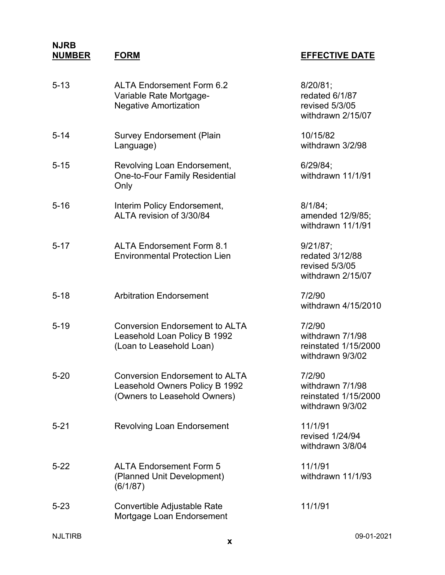| <b>ALTA Endorsement Form 6.2</b><br>Variable Rate Mortgage-<br><b>Negative Amortization</b>             | $8/20/81$ ;<br>redated 6/1/87<br>revised 5/3/05<br>withdrawn 2/15/07   |
|---------------------------------------------------------------------------------------------------------|------------------------------------------------------------------------|
| <b>Survey Endorsement (Plain</b><br>Language)                                                           | 10/15/82<br>withdrawn 3/2/98                                           |
| Revolving Loan Endorsement,<br><b>One-to-Four Family Residential</b><br>Only                            | 6/29/84;<br>withdrawn 11/1/91                                          |
| Interim Policy Endorsement,<br>ALTA revision of 3/30/84                                                 | $8/1/84$ ;<br>amended 12/9/85;<br>withdrawn 11/1/91                    |
| <b>ALTA Endorsement Form 8.1</b><br><b>Environmental Protection Lien</b>                                | 9/21/87;<br>redated 3/12/88<br>revised 5/3/05<br>withdrawn 2/15/07     |
| <b>Arbitration Endorsement</b>                                                                          | 7/2/90<br>withdrawn 4/15/2010                                          |
| <b>Conversion Endorsement to ALTA</b><br>Leasehold Loan Policy B 1992<br>(Loan to Leasehold Loan)       | 7/2/90<br>withdrawn 7/1/98<br>reinstated 1/15/2000<br>withdrawn 9/3/02 |
| <b>Conversion Endorsement to ALTA</b><br>Leasehold Owners Policy B 1992<br>(Owners to Leasehold Owners) | 7/2/90<br>withdrawn 7/1/98<br>reinstated 1/15/2000<br>withdrawn 9/3/02 |
| <b>Revolving Loan Endorsement</b>                                                                       | 11/1/91<br>revised 1/24/94<br>withdrawn 3/8/04                         |
| <b>ALTA Endorsement Form 5</b><br>(Planned Unit Development)<br>(6/1/87)                                | 11/1/91<br>withdrawn 11/1/93                                           |
| Convertible Adjustable Rate<br>Mortgage Loan Endorsement                                                | 11/1/91                                                                |
|                                                                                                         |                                                                        |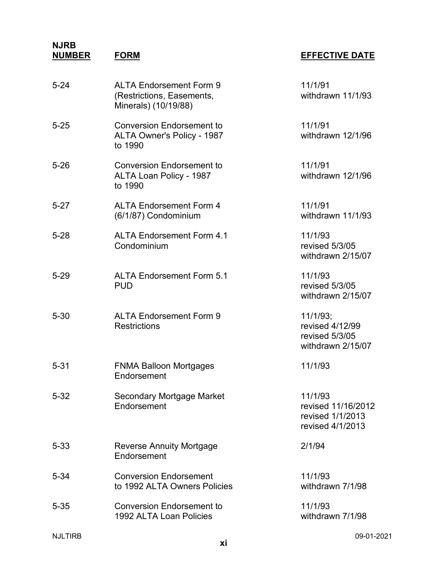| $5 - 24$ | <b>ALTA Endorsement Form 9</b><br>(Restrictions, Easements,<br>Minerals) (10/19/88) | 11/1/91<br>withdrawn 11/1/93                                          |
|----------|-------------------------------------------------------------------------------------|-----------------------------------------------------------------------|
| $5 - 25$ | <b>Conversion Endorsement to</b><br>ALTA Owner's Policy - 1987<br>to 1990           | 11/1/91<br>withdrawn 12/1/96                                          |
| $5 - 26$ | <b>Conversion Endorsement to</b><br>ALTA Loan Policy - 1987<br>to 1990              | 11/1/91<br>withdrawn 12/1/96                                          |
| $5 - 27$ | <b>ALTA Endorsement Form 4</b><br>(6/1/87) Condominium                              | 11/1/91<br>withdrawn 11/1/93                                          |
| $5 - 28$ | <b>ALTA Endorsement Form 4.1</b><br>Condominium                                     | 11/1/93<br>revised 5/3/05<br>withdrawn 2/15/07                        |
| $5 - 29$ | <b>ALTA Endorsement Form 5.1</b><br><b>PUD</b>                                      | 11/1/93<br>revised 5/3/05<br>withdrawn 2/15/07                        |
| $5 - 30$ | <b>ALTA Endorsement Form 9</b><br><b>Restrictions</b>                               | 11/1/93;<br>revised 4/12/99<br>revised 5/3/05<br>withdrawn 2/15/07    |
| $5 - 31$ | <b>FNMA Balloon Mortgages</b><br>Endorsement                                        | 11/1/93                                                               |
| $5 - 32$ | Secondary Mortgage Market<br>Endorsement                                            | 11/1/93<br>revised 11/16/2012<br>revised 1/1/2013<br>revised 4/1/2013 |
| $5 - 33$ | <b>Reverse Annuity Mortgage</b><br>Endorsement                                      | 2/1/94                                                                |
| $5 - 34$ | <b>Conversion Endorsement</b><br>to 1992 ALTA Owners Policies                       | 11/1/93<br>withdrawn 7/1/98                                           |
| $5 - 35$ | <b>Conversion Endorsement to</b><br>1992 ALTA Loan Policies                         | 11/1/93<br>withdrawn 7/1/98                                           |
|          |                                                                                     |                                                                       |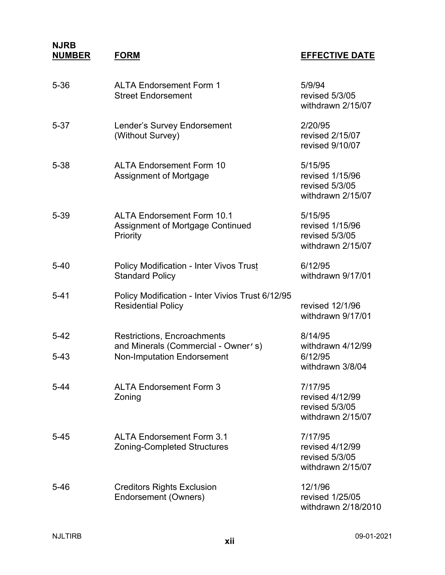| $5 - 36$             | <b>ALTA Endorsement Form 1</b><br><b>Street Endorsement</b>                       | 5/9/94<br>revised 5/3/05<br>withdrawn 2/15/07                     |
|----------------------|-----------------------------------------------------------------------------------|-------------------------------------------------------------------|
| $5 - 37$             | Lender's Survey Endorsement<br>(Without Survey)                                   | 2/20/95<br>revised 2/15/07<br>revised 9/10/07                     |
| $5 - 38$             | <b>ALTA Endorsement Form 10</b><br>Assignment of Mortgage                         | 5/15/95<br>revised 1/15/96<br>revised 5/3/05<br>withdrawn 2/15/07 |
| 5-39                 | <b>ALTA Endorsement Form 10.1</b><br>Assignment of Mortgage Continued<br>Priority | 5/15/95<br>revised 1/15/96<br>revised 5/3/05<br>withdrawn 2/15/07 |
| $5 - 40$             | <b>Policy Modification - Inter Vivos Trust</b><br><b>Standard Policy</b>          | 6/12/95<br>withdrawn 9/17/01                                      |
| $5 - 41$             | Policy Modification - Inter Vivios Trust 6/12/95<br><b>Residential Policy</b>     | revised 12/1/96<br>withdrawn 9/17/01                              |
| $5 - 42$<br>$5 - 43$ | Restrictions, Encroachments<br>and Minerals (Commercial - Owner's)                | 8/14/95<br>withdrawn 4/12/99<br>6/12/95                           |
|                      | <b>Non-Imputation Endorsement</b>                                                 | withdrawn 3/8/04                                                  |
| 5-44                 | <b>ALTA Endorsement Form 3</b><br>Zoning                                          | 7/17/95<br>revised 4/12/99<br>revised 5/3/05<br>withdrawn 2/15/07 |
| $5 - 45$             | <b>ALTA Endorsement Form 3.1</b><br><b>Zoning-Completed Structures</b>            | 7/17/95<br>revised 4/12/99<br>revised 5/3/05<br>withdrawn 2/15/07 |
| 5-46                 | <b>Creditors Rights Exclusion</b><br>Endorsement (Owners)                         | 12/1/96<br>revised 1/25/05<br>withdrawn 2/18/2010                 |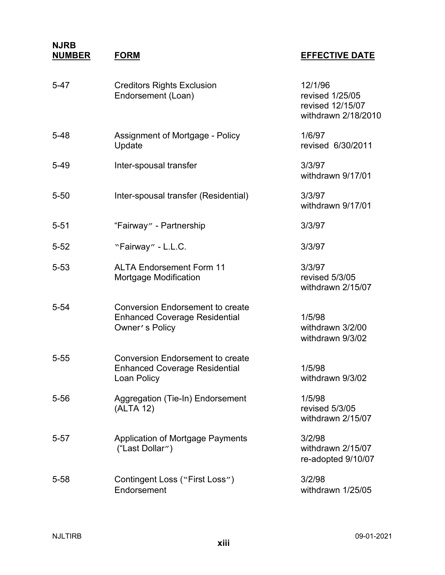| $5 - 47$ | <b>Creditors Rights Exclusion</b><br>Endorsement (Loan)                                           | 12/1/96<br>revised 1/25/05<br>revised 12/15/07<br>withdrawn 2/18/2010 |
|----------|---------------------------------------------------------------------------------------------------|-----------------------------------------------------------------------|
| $5 - 48$ | Assignment of Mortgage - Policy<br>Update                                                         | 1/6/97<br>revised 6/30/2011                                           |
| $5 - 49$ | Inter-spousal transfer                                                                            | 3/3/97<br>withdrawn 9/17/01                                           |
| $5 - 50$ | Inter-spousal transfer (Residential)                                                              | 3/3/97<br>withdrawn 9/17/01                                           |
| $5 - 51$ | "Fairway" - Partnership                                                                           | 3/3/97                                                                |
| $5 - 52$ | "Fairway" - L.L.C.                                                                                | 3/3/97                                                                |
| $5 - 53$ | <b>ALTA Endorsement Form 11</b><br>Mortgage Modification                                          | 3/3/97<br>revised 5/3/05<br>withdrawn 2/15/07                         |
| $5 - 54$ | <b>Conversion Endorsement to create</b><br><b>Enhanced Coverage Residential</b><br>Owner's Policy | 1/5/98<br>withdrawn 3/2/00<br>withdrawn 9/3/02                        |
| $5 - 55$ | <b>Conversion Endorsement to create</b><br><b>Enhanced Coverage Residential</b><br>Loan Policy    | 1/5/98<br>withdrawn 9/3/02                                            |
| 5-56     | Aggregation (Tie-In) Endorsement<br>(ALTA 12)                                                     | 1/5/98<br>revised 5/3/05<br>withdrawn 2/15/07                         |
| 5-57     | <b>Application of Mortgage Payments</b><br>("Last Dollar")                                        | 3/2/98<br>withdrawn 2/15/07<br>re-adopted 9/10/07                     |
| 5-58     | Contingent Loss ("First Loss")<br>Endorsement                                                     | 3/2/98<br>withdrawn 1/25/05                                           |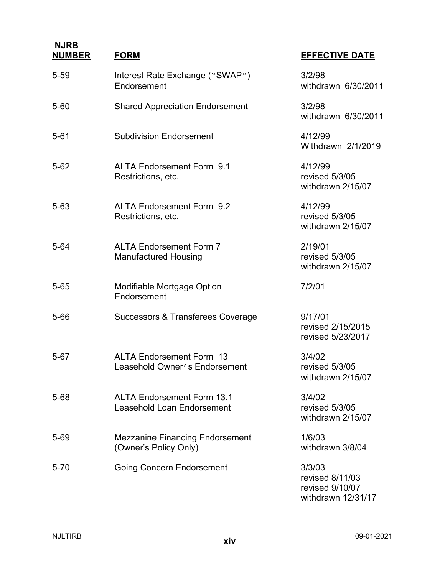| $5 - 59$ | Interest Rate Exchange ("SWAP")<br>Endorsement                   | 3/2/98<br>withdrawn 6/30/2011                     |
|----------|------------------------------------------------------------------|---------------------------------------------------|
| $5 - 60$ | <b>Shared Appreciation Endorsement</b>                           | 3/2/98<br>withdrawn 6/30/2011                     |
| $5 - 61$ | <b>Subdivision Endorsement</b>                                   | 4/12/99<br>Withdrawn 2/1/2019                     |
| $5 - 62$ | <b>ALTA Endorsement Form 9.1</b><br>Restrictions, etc.           | 4/12/99<br>revised 5/3/05<br>withdrawn 2/15/07    |
| $5 - 63$ | <b>ALTA Endorsement Form 9.2</b><br>Restrictions, etc.           | 4/12/99<br>revised 5/3/05<br>withdrawn 2/15/07    |
| $5 - 64$ | <b>ALTA Endorsement Form 7</b><br><b>Manufactured Housing</b>    | 2/19/01<br>revised 5/3/05<br>withdrawn 2/15/07    |
| $5 - 65$ | Modifiable Mortgage Option<br>Endorsement                        | 7/2/01                                            |
| $5 - 66$ | Successors & Transferees Coverage                                | 9/17/01<br>revised 2/15/2015<br>revised 5/23/2017 |
| $5 - 67$ | <b>ALTA Endorsement Form 13</b><br>Leasehold Owner's Endorsement | 3/4/02<br>revised 5/3/05<br>withdrawn 2/15/07     |
| $5 - 68$ | <b>ALTA Endorsement Form 13.1</b><br>Leasehold Loan Endorsement  | 3/4/02<br>revised 5/3/05<br>withdrawn 2/15/07     |
| $5 - 69$ | <b>Mezzanine Financing Endorsement</b><br>(Owner's Policy Only)  | 1/6/03<br>withdrawn 3/8/04                        |
| $5 - 70$ | <b>Going Concern Endorsement</b>                                 | 3/3/03<br>revised 8/11/03<br>ravised 0/10/07      |

#### **NUMBER FORM EFFECTIVE DATE**

revised 9/10/07 withdrawn 12/31/17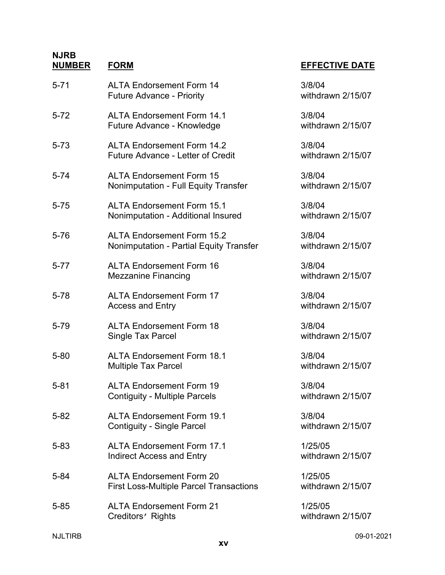| $5 - 71$ | <b>ALTA Endorsement Form 14</b><br><b>Future Advance - Priority</b>               | 3/8/04<br>withdrawn 2/15/07  |
|----------|-----------------------------------------------------------------------------------|------------------------------|
| $5 - 72$ | <b>ALTA Endorsement Form 14.1</b><br>Future Advance - Knowledge                   | 3/8/04<br>withdrawn 2/15/07  |
| $5 - 73$ | <b>ALTA Endorsement Form 14.2</b><br>Future Advance - Letter of Credit            | 3/8/04<br>withdrawn 2/15/07  |
| $5 - 74$ | <b>ALTA Endorsement Form 15</b><br><b>Nonimputation - Full Equity Transfer</b>    | 3/8/04<br>withdrawn 2/15/07  |
| $5 - 75$ | <b>ALTA Endorsement Form 15.1</b><br>Nonimputation - Additional Insured           | 3/8/04<br>withdrawn 2/15/07  |
| $5 - 76$ | <b>ALTA Endorsement Form 15.2</b><br>Nonimputation - Partial Equity Transfer      | 3/8/04<br>withdrawn 2/15/07  |
| $5 - 77$ | <b>ALTA Endorsement Form 16</b><br><b>Mezzanine Financing</b>                     | 3/8/04<br>withdrawn 2/15/07  |
| $5 - 78$ | <b>ALTA Endorsement Form 17</b><br><b>Access and Entry</b>                        | 3/8/04<br>withdrawn 2/15/07  |
| 5-79     | <b>ALTA Endorsement Form 18</b><br>Single Tax Parcel                              | 3/8/04<br>withdrawn 2/15/07  |
| $5 - 80$ | <b>ALTA Endorsement Form 18.1</b><br><b>Multiple Tax Parcel</b>                   | 3/8/04<br>withdrawn 2/15/07  |
| $5 - 81$ | <b>ALTA Endorsement Form 19</b><br><b>Contiguity - Multiple Parcels</b>           | 3/8/04<br>withdrawn 2/15/07  |
| $5 - 82$ | <b>ALTA Endorsement Form 19.1</b><br><b>Contiguity - Single Parcel</b>            | 3/8/04<br>withdrawn 2/15/07  |
| $5 - 83$ | <b>ALTA Endorsement Form 17.1</b><br><b>Indirect Access and Entry</b>             | 1/25/05<br>withdrawn 2/15/07 |
| $5 - 84$ | <b>ALTA Endorsement Form 20</b><br><b>First Loss-Multiple Parcel Transactions</b> | 1/25/05<br>withdrawn 2/15/07 |
| $5 - 85$ | <b>ALTA Endorsement Form 21</b><br>Creditors' Rights                              | 1/25/05<br>withdrawn 2/15/07 |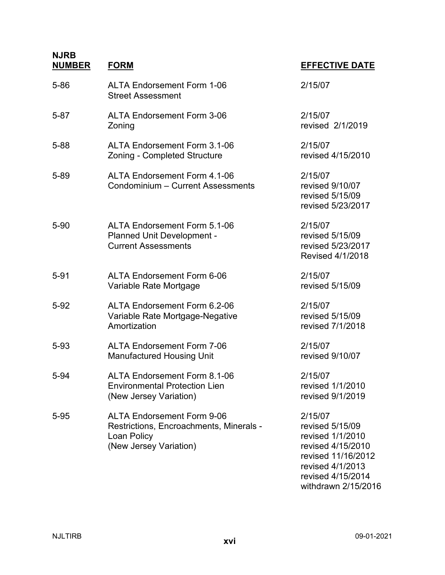| <b>NJRB</b> |    |
|-------------|----|
| NIIMRED     | E) |

| 5-86 | <b>ALTA Endorsement Form 1-06</b><br><b>Street Assessment</b>                                                         | 2/15/07                                                                                                |
|------|-----------------------------------------------------------------------------------------------------------------------|--------------------------------------------------------------------------------------------------------|
| 5-87 | <b>ALTA Endorsement Form 3-06</b><br>Zoning                                                                           | 2/15/07<br>revised 2/1/201                                                                             |
| 5-88 | <b>ALTA Endorsement Form 3.1-06</b><br>Zoning - Completed Structure                                                   | 2/15/07<br>revised 4/15/20                                                                             |
| 5-89 | <b>ALTA Endorsement Form 4.1-06</b><br>Condominium - Current Assessments                                              | 2/15/07<br>revised 9/10/07<br>revised 5/15/09<br>revised 5/23/20                                       |
| 5-90 | ALTA Endorsement Form 5.1-06<br>Planned Unit Development -<br><b>Current Assessments</b>                              | 2/15/07<br>revised 5/15/09<br>revised 5/23/20<br>Revised 4/1/20                                        |
| 5-91 | <b>ALTA Endorsement Form 6-06</b><br>Variable Rate Mortgage                                                           | 2/15/07<br>revised 5/15/09                                                                             |
| 5-92 | ALTA Endorsement Form 6.2-06<br>Variable Rate Mortgage-Negative<br>Amortization                                       | 2/15/07<br>revised 5/15/09<br>revised 7/1/201                                                          |
| 5-93 | <b>ALTA Endorsement Form 7-06</b><br><b>Manufactured Housing Unit</b>                                                 | 2/15/07<br>revised 9/10/07                                                                             |
| 5-94 | ALTA Endorsement Form 8.1-06<br><b>Environmental Protection Lien</b><br>(New Jersey Variation)                        | 2/15/07<br>revised 1/1/201<br>revised 9/1/201                                                          |
| 5-95 | <b>ALTA Endorsement Form 9-06</b><br>Restrictions, Encroachments, Minerals -<br>Loan Policy<br>(New Jersey Variation) | 2/15/07<br>revised 5/15/09<br>revised 1/1/201<br>revised 4/15/20<br>revised 11/16/2<br>revised 4/1/201 |

### **NUMBER FORM EFFECTIVE DATE**

2/1/2019

 $4/15/2010$ 

5/15/09  $5/23/2017$ 

 $5/23/2017$ 4/1/2018

7/1/2018

I/1/2010  $M/1/2019$ 

l/1/2010 (Vital) 15/2010 revised 11/16/2012 revised 4/1/2013 revised 4/15/2014 withdrawn 2/15/2016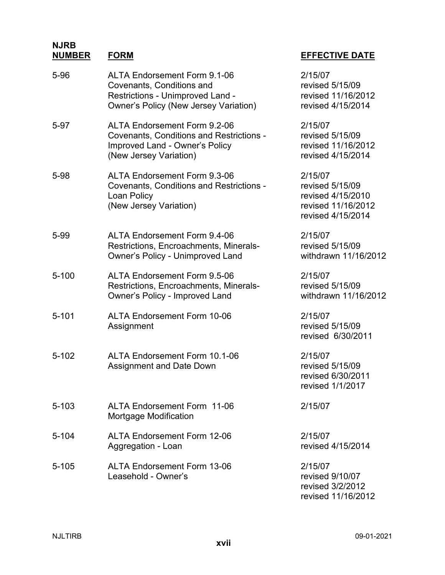#### **NJRB NUMBER FORM EFFECTIVE DATE**

5-96 ALTA Endorsement Form 9.1-06

| EFFEUIIVE DAIE  |
|-----------------|
| 2/15/07         |
| revised 5/15/09 |
|                 |

|       | Covenants, Conditions and<br>Restrictions - Unimproved Land -<br><b>Owner's Policy (New Jersey Variation)</b>                                      | revised 5/15/09<br>revised 11/16/2012<br>revised 4/15/2014                                 |
|-------|----------------------------------------------------------------------------------------------------------------------------------------------------|--------------------------------------------------------------------------------------------|
| 5-97  | <b>ALTA Endorsement Form 9.2-06</b><br><b>Covenants, Conditions and Restrictions -</b><br>Improved Land - Owner's Policy<br>(New Jersey Variation) | 2/15/07<br>revised 5/15/09<br>revised 11/16/2012<br>revised 4/15/2014                      |
| 5-98  | <b>ALTA Endorsement Form 9.3-06</b><br><b>Covenants, Conditions and Restrictions -</b><br>Loan Policy<br>(New Jersey Variation)                    | 2/15/07<br>revised 5/15/09<br>revised 4/15/2010<br>revised 11/16/2012<br>revised 4/15/2014 |
| 5-99  | <b>ALTA Endorsement Form 9.4-06</b><br>Restrictions, Encroachments, Minerals-<br><b>Owner's Policy - Unimproved Land</b>                           | 2/15/07<br>revised 5/15/09<br>withdrawn 11/16/2012                                         |
| 5-100 | <b>ALTA Endorsement Form 9.5-06</b><br>Restrictions, Encroachments, Minerals-<br>Owner's Policy - Improved Land                                    | 2/15/07<br>revised 5/15/09<br>withdrawn 11/16/2012                                         |
| 5-101 | <b>ALTA Endorsement Form 10-06</b><br>Assignment                                                                                                   | 2/15/07<br>revised 5/15/09<br>revised 6/30/2011                                            |
| 5-102 | <b>ALTA Endorsement Form 10.1-06</b><br><b>Assignment and Date Down</b>                                                                            | 2/15/07<br>revised 5/15/09<br>revised 6/30/2011<br>revised 1/1/2017                        |
| 5-103 | <b>ALTA Endorsement Form 11-06</b><br>Mortgage Modification                                                                                        | 2/15/07                                                                                    |
| 5-104 | <b>ALTA Endorsement Form 12-06</b><br>Aggregation - Loan                                                                                           | 2/15/07<br>revised 4/15/2014                                                               |
| 5-105 | <b>ALTA Endorsement Form 13-06</b><br>Leasehold - Owner's                                                                                          | 2/15/07<br>revised 9/10/07<br>revised 3/2/2012<br>revised 11/16/2012                       |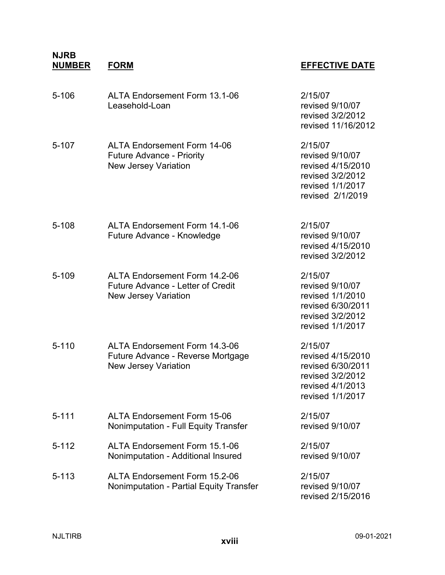| $5 - 106$ | <b>ALTA Endorsement Form 13.1-06</b><br>Leasehold-Loan                                                   | 2/15/07<br>revised 9/10/07<br>revised 3/2/2012<br>revised 11/16/2012                                          |
|-----------|----------------------------------------------------------------------------------------------------------|---------------------------------------------------------------------------------------------------------------|
| 5-107     | <b>ALTA Endorsement Form 14-06</b><br><b>Future Advance - Priority</b><br><b>New Jersey Variation</b>    | 2/15/07<br>revised 9/10/07<br>revised 4/15/2010<br>revised 3/2/2012<br>revised 1/1/2017<br>revised 2/1/2019   |
| $5 - 108$ | ALTA Endorsement Form 14.1-06<br>Future Advance - Knowledge                                              | 2/15/07<br>revised 9/10/07<br>revised 4/15/2010<br>revised 3/2/2012                                           |
| $5 - 109$ | ALTA Endorsement Form 14.2-06<br><b>Future Advance - Letter of Credit</b><br><b>New Jersey Variation</b> | 2/15/07<br>revised 9/10/07<br>revised 1/1/2010<br>revised 6/30/2011<br>revised 3/2/2012<br>revised 1/1/2017   |
| $5 - 110$ | <b>ALTA Endorsement Form 14.3-06</b><br>Future Advance - Reverse Mortgage<br><b>New Jersey Variation</b> | 2/15/07<br>revised 4/15/2010<br>revised 6/30/2011<br>revised 3/2/2012<br>revised 4/1/2013<br>revised 1/1/2017 |
| $5 - 111$ | <b>ALTA Endorsement Form 15-06</b><br>Nonimputation - Full Equity Transfer                               | 2/15/07<br>revised 9/10/07                                                                                    |
| $5 - 112$ | <b>ALTA Endorsement Form 15.1-06</b><br>Nonimputation - Additional Insured                               | 2/15/07<br>revised 9/10/07                                                                                    |
| $5 - 113$ | ALTA Endorsement Form 15.2-06<br>Nonimputation - Partial Equity Transfer                                 | 2/15/07<br>revised 9/10/07<br>revised 2/15/2016                                                               |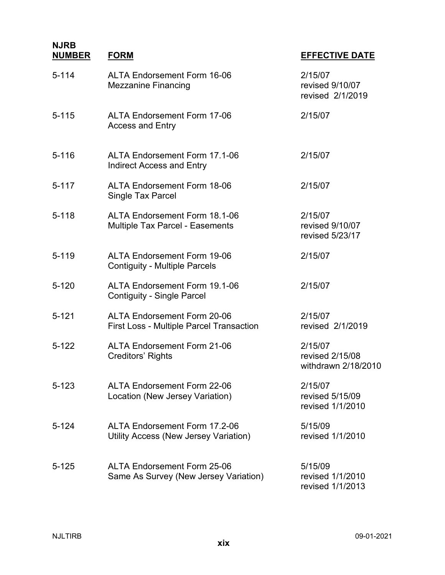| $5 - 114$ | <b>ALTA Endorsement Form 16-06</b><br><b>Mezzanine Financing</b>                      | 2/15/07<br>revised 9/10/07<br>revised 2/1/2019    |
|-----------|---------------------------------------------------------------------------------------|---------------------------------------------------|
| $5 - 115$ | <b>ALTA Endorsement Form 17-06</b><br><b>Access and Entry</b>                         | 2/15/07                                           |
| $5 - 116$ | ALTA Endorsement Form 17.1-06<br><b>Indirect Access and Entry</b>                     | 2/15/07                                           |
| $5 - 117$ | <b>ALTA Endorsement Form 18-06</b><br>Single Tax Parcel                               | 2/15/07                                           |
| $5 - 118$ | <b>ALTA Endorsement Form 18.1-06</b><br><b>Multiple Tax Parcel - Easements</b>        | 2/15/07<br>revised 9/10/07<br>revised 5/23/17     |
| $5 - 119$ | <b>ALTA Endorsement Form 19-06</b><br><b>Contiguity - Multiple Parcels</b>            | 2/15/07                                           |
| $5 - 120$ | <b>ALTA Endorsement Form 19.1-06</b><br><b>Contiguity - Single Parcel</b>             | 2/15/07                                           |
| $5 - 121$ | <b>ALTA Endorsement Form 20-06</b><br><b>First Loss - Multiple Parcel Transaction</b> | 2/15/07<br>revised 2/1/2019                       |
| $5 - 122$ | <b>ALTA Endorsement Form 21-06</b><br>Creditors' Rights                               | 2/15/07<br>revised 2/15/08<br>withdrawn 2/18/2010 |
| $5 - 123$ | <b>ALTA Endorsement Form 22-06</b><br>Location (New Jersey Variation)                 | 2/15/07<br>revised 5/15/09<br>revised 1/1/2010    |
| $5 - 124$ | <b>ALTA Endorsement Form 17.2-06</b><br>Utility Access (New Jersey Variation)         | 5/15/09<br>revised 1/1/2010                       |
| $5 - 125$ | <b>ALTA Endorsement Form 25-06</b><br>Same As Survey (New Jersey Variation)           | 5/15/09<br>revised 1/1/2010<br>revised 1/1/2013   |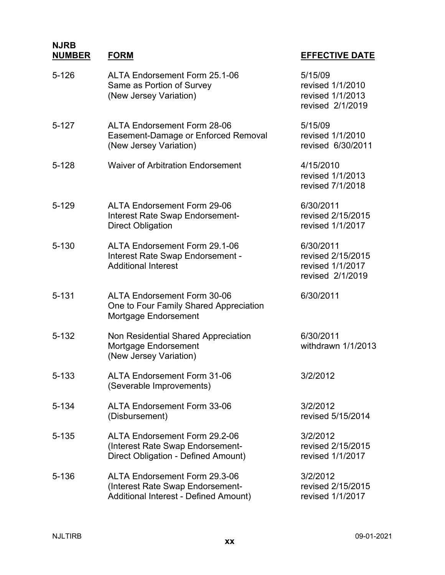| 5-126     | ALTA Endorsement Form 25.1-06<br>Same as Portion of Survey<br>(New Jersey Variation)                       | 5/15/09<br>revised 1/1/2010<br>revised 1/1/2013<br>revised 2/1/2019    |
|-----------|------------------------------------------------------------------------------------------------------------|------------------------------------------------------------------------|
| $5 - 127$ | <b>ALTA Endorsement Form 28-06</b><br>Easement-Damage or Enforced Removal<br>(New Jersey Variation)        | 5/15/09<br>revised 1/1/2010<br>revised 6/30/2011                       |
| 5-128     | <b>Waiver of Arbitration Endorsement</b>                                                                   | 4/15/2010<br>revised 1/1/2013<br>revised 7/1/2018                      |
| 5-129     | <b>ALTA Endorsement Form 29-06</b><br>Interest Rate Swap Endorsement-<br><b>Direct Obligation</b>          | 6/30/2011<br>revised 2/15/2015<br>revised 1/1/2017                     |
| 5-130     | ALTA Endorsement Form 29.1-06<br>Interest Rate Swap Endorsement -<br><b>Additional Interest</b>            | 6/30/2011<br>revised 2/15/2015<br>revised 1/1/2017<br>revised 2/1/2019 |
| 5-131     | <b>ALTA Endorsement Form 30-06</b><br>One to Four Family Shared Appreciation<br>Mortgage Endorsement       | 6/30/2011                                                              |
| 5-132     | Non Residential Shared Appreciation<br>Mortgage Endorsement<br>(New Jersey Variation)                      | 6/30/2011<br>withdrawn 1/1/2013                                        |
| 5-133     | <b>ALTA Endorsement Form 31-06</b><br>(Severable Improvements)                                             | 3/2/2012                                                               |
| 5-134     | <b>ALTA Endorsement Form 33-06</b><br>(Disbursement)                                                       | 3/2/2012<br>revised 5/15/2014                                          |
| 5-135     | ALTA Endorsement Form 29.2-06<br>(Interest Rate Swap Endorsement-<br>Direct Obligation - Defined Amount)   | 3/2/2012<br>revised 2/15/2015<br>revised 1/1/2017                      |
| 5-136     | ALTA Endorsement Form 29.3-06<br>(Interest Rate Swap Endorsement-<br>Additional Interest - Defined Amount) | 3/2/2012<br>revised 2/15/2015<br>revised 1/1/2017                      |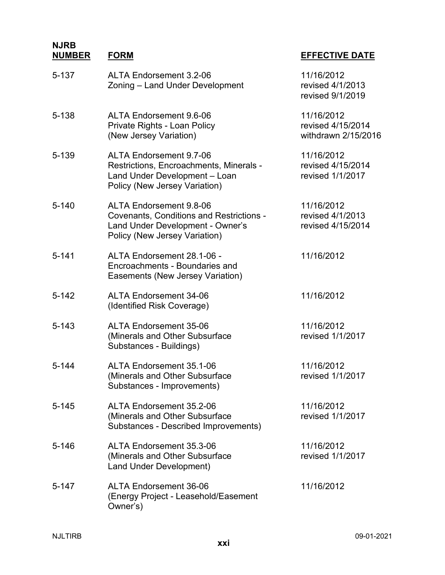| 5-137 | <b>ALTA Endorsement 3.2-06</b><br>Zoning - Land Under Development                                                                                      | 11/16/2012<br>revised 4/1/2013<br>revised 9/1/2019     |
|-------|--------------------------------------------------------------------------------------------------------------------------------------------------------|--------------------------------------------------------|
| 5-138 | ALTA Endorsement 9.6-06<br>Private Rights - Loan Policy<br>(New Jersey Variation)                                                                      | 11/16/2012<br>revised 4/15/2014<br>withdrawn 2/15/2016 |
| 5-139 | <b>ALTA Endorsement 9.7-06</b><br>Restrictions, Encroachments, Minerals -<br>Land Under Development - Loan<br>Policy (New Jersey Variation)            | 11/16/2012<br>revised 4/15/2014<br>revised 1/1/2017    |
| 5-140 | <b>ALTA Endorsement 9.8-06</b><br><b>Covenants, Conditions and Restrictions -</b><br>Land Under Development - Owner's<br>Policy (New Jersey Variation) | 11/16/2012<br>revised 4/1/2013<br>revised 4/15/2014    |
| 5-141 | ALTA Endorsement 28.1-06 -<br>Encroachments - Boundaries and<br>Easements (New Jersey Variation)                                                       | 11/16/2012                                             |
| 5-142 | <b>ALTA Endorsement 34-06</b><br>(Identified Risk Coverage)                                                                                            | 11/16/2012                                             |
| 5-143 | <b>ALTA Endorsement 35-06</b><br>(Minerals and Other Subsurface<br>Substances - Buildings)                                                             | 11/16/2012<br>revised 1/1/2017                         |
| 5-144 | ALTA Endorsement 35.1-06<br>(Minerals and Other Subsurface<br>Substances - Improvements)                                                               | 11/16/2012<br>revised 1/1/2017                         |
| 5-145 | ALTA Endorsement 35.2-06<br>(Minerals and Other Subsurface<br>Substances - Described Improvements)                                                     | 11/16/2012<br>revised 1/1/2017                         |
| 5-146 | ALTA Endorsement 35.3-06<br>(Minerals and Other Subsurface<br><b>Land Under Development)</b>                                                           | 11/16/2012<br>revised 1/1/2017                         |
| 5-147 | <b>ALTA Endorsement 36-06</b><br>(Energy Project - Leasehold/Easement<br>Owner's)                                                                      | 11/16/2012                                             |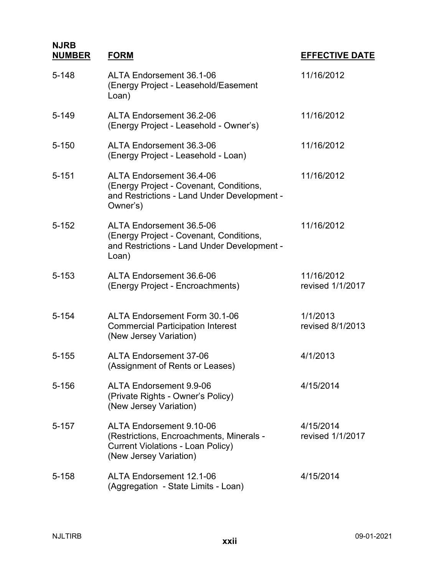| $5 - 148$ | ALTA Endorsement 36.1-06<br>(Energy Project - Leasehold/Easement<br>Loan)                                                                  | 11/16/2012                     |
|-----------|--------------------------------------------------------------------------------------------------------------------------------------------|--------------------------------|
| $5 - 149$ | ALTA Endorsement 36.2-06<br>(Energy Project - Leasehold - Owner's)                                                                         | 11/16/2012                     |
| $5 - 150$ | ALTA Endorsement 36.3-06<br>(Energy Project - Leasehold - Loan)                                                                            | 11/16/2012                     |
| $5 - 151$ | ALTA Endorsement 36.4-06<br>(Energy Project - Covenant, Conditions,<br>and Restrictions - Land Under Development -<br>Owner's)             | 11/16/2012                     |
| $5 - 152$ | ALTA Endorsement 36.5-06<br>(Energy Project - Covenant, Conditions,<br>and Restrictions - Land Under Development -<br>Loan)                | 11/16/2012                     |
| $5 - 153$ | ALTA Endorsement 36.6-06<br>(Energy Project - Encroachments)                                                                               | 11/16/2012<br>revised 1/1/2017 |
| $5 - 154$ | ALTA Endorsement Form 30.1-06<br><b>Commercial Participation Interest</b><br>(New Jersey Variation)                                        | 1/1/2013<br>revised 8/1/2013   |
| $5 - 155$ | <b>ALTA Endorsement 37-06</b><br>(Assignment of Rents or Leases)                                                                           | 4/1/2013                       |
| $5 - 156$ | <b>ALTA Endorsement 9.9-06</b><br>(Private Rights - Owner's Policy)<br>(New Jersey Variation)                                              | 4/15/2014                      |
| $5 - 157$ | ALTA Endorsement 9.10-06<br>(Restrictions, Encroachments, Minerals -<br><b>Current Violations - Loan Policy)</b><br>(New Jersey Variation) | 4/15/2014<br>revised 1/1/2017  |
| $5 - 158$ | <b>ALTA Endorsement 12.1-06</b><br>(Aggregation - State Limits - Loan)                                                                     | 4/15/2014                      |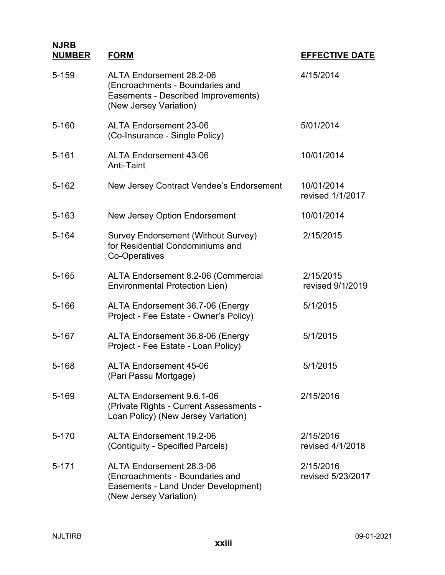| 5-159     | ALTA Endorsement 28.2-06<br>(Encroachments - Boundaries and<br>Easements - Described Improvements)<br>(New Jersey Variation) | 4/15/2014                      |
|-----------|------------------------------------------------------------------------------------------------------------------------------|--------------------------------|
| $5 - 160$ | <b>ALTA Endorsement 23-06</b><br>(Co-Insurance - Single Policy)                                                              | 5/01/2014                      |
| $5 - 161$ | <b>ALTA Endorsement 43-06</b><br>Anti-Taint                                                                                  | 10/01/2014                     |
| $5 - 162$ | New Jersey Contract Vendee's Endorsement                                                                                     | 10/01/2014<br>revised 1/1/2017 |
| $5 - 163$ | <b>New Jersey Option Endorsement</b>                                                                                         | 10/01/2014                     |
| 5-164     | Survey Endorsement (Without Survey)<br>for Residential Condominiums and<br>Co-Operatives                                     | 2/15/2015                      |
| $5 - 165$ | ALTA Endorsement 8.2-06 (Commercial<br><b>Environmental Protection Lien)</b>                                                 | 2/15/2015<br>revised 9/1/2019  |
| 5-166     | ALTA Endorsement 36.7-06 (Energy<br>Project - Fee Estate - Owner's Policy)                                                   | 5/1/2015                       |
| 5-167     | ALTA Endorsement 36.8-06 (Energy<br>Project - Fee Estate - Loan Policy)                                                      | 5/1/2015                       |
| 5-168     | <b>ALTA Endorsement 45-06</b><br>(Pari Passu Mortgage)                                                                       | 5/1/2015                       |
| 5-169     | ALTA Endorsement 9.6.1-06<br>(Private Rights - Current Assessments -<br>Loan Policy) (New Jersey Variation)                  | 2/15/2016                      |
| 5-170     | <b>ALTA Endorsement 19.2-06</b><br>(Contiguity - Specified Parcels)                                                          | 2/15/2016<br>revised 4/1/2018  |
| $5 - 171$ | ALTA Endorsement 28.3-06<br>(Encroachments - Boundaries and<br>Easements - Land Under Development)<br>(New Jersey Variation) | 2/15/2016<br>revised 5/23/2017 |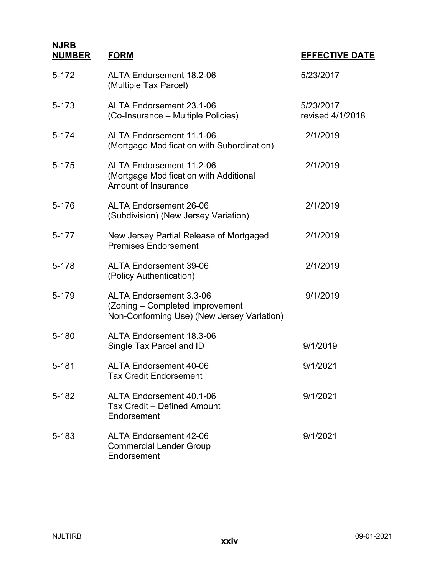| $5 - 172$ | <b>ALTA Endorsement 18.2-06</b><br>(Multiple Tax Parcel)                                                        | 5/23/2017                     |
|-----------|-----------------------------------------------------------------------------------------------------------------|-------------------------------|
| $5 - 173$ | ALTA Endorsement 23.1-06<br>(Co-Insurance – Multiple Policies)                                                  | 5/23/2017<br>revised 4/1/2018 |
| $5 - 174$ | <b>ALTA Endorsement 11.1-06</b><br>(Mortgage Modification with Subordination)                                   | 2/1/2019                      |
| $5 - 175$ | <b>ALTA Endorsement 11.2-06</b><br>(Mortgage Modification with Additional<br><b>Amount of Insurance</b>         | 2/1/2019                      |
| 5-176     | <b>ALTA Endorsement 26-06</b><br>(Subdivision) (New Jersey Variation)                                           | 2/1/2019                      |
| $5 - 177$ | New Jersey Partial Release of Mortgaged<br><b>Premises Endorsement</b>                                          | 2/1/2019                      |
| 5-178     | <b>ALTA Endorsement 39-06</b><br>(Policy Authentication)                                                        | 2/1/2019                      |
| 5-179     | <b>ALTA Endorsement 3.3-06</b><br>(Zoning - Completed Improvement<br>Non-Conforming Use) (New Jersey Variation) | 9/1/2019                      |
| 5-180     | <b>ALTA Endorsement 18.3-06</b><br>Single Tax Parcel and ID                                                     | 9/1/2019                      |
| $5 - 181$ | <b>ALTA Endorsement 40-06</b><br><b>Tax Credit Endorsement</b>                                                  | 9/1/2021                      |
| 5-182     | <b>ALTA Endorsement 40.1-06</b><br>Tax Credit - Defined Amount<br>Endorsement                                   | 9/1/2021                      |
| 5-183     | <b>ALTA Endorsement 42-06</b><br><b>Commercial Lender Group</b><br>Endorsement                                  | 9/1/2021                      |